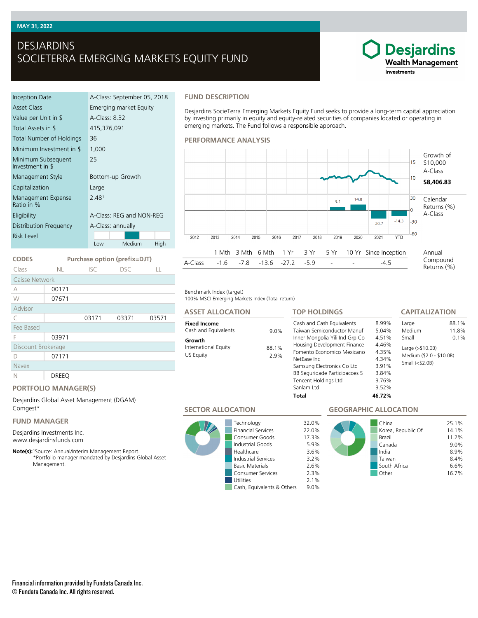# **MAY 31, 2022**

# DESJARDINS SOCIETERRA EMERGING MARKETS EQUITY FUND

# **Desjardins Wealth Management** Investments

| Inception Date                         | A-Class: September 05, 2018 |  |  |  |  |
|----------------------------------------|-----------------------------|--|--|--|--|
| Asset Class                            | Emerging market Equity      |  |  |  |  |
| Value per Unit in \$                   | A-Class: 8.32               |  |  |  |  |
| Total Assets in \$                     | 415,376,091                 |  |  |  |  |
| <b>Total Number of Holdings</b>        | 36                          |  |  |  |  |
| Minimum Investment in \$               | 1,000                       |  |  |  |  |
| Minimum Subsequent<br>Investment in \$ | 25                          |  |  |  |  |
| Management Style                       | Bottom-up Growth            |  |  |  |  |
| Capitalization                         | Large                       |  |  |  |  |
| Management Expense<br>Ratio in %       | 2.481                       |  |  |  |  |
| Eligibility                            | A-Class: REG and NON-REG    |  |  |  |  |
| Distribution Frequency                 | A-Class: annually           |  |  |  |  |
| Risk Level                             |                             |  |  |  |  |
|                                        | Medium<br>High<br>Low       |  |  |  |  |

**CODES Purchase option (prefix=DJT)** Class NL ISC DSC LL

C 03171 03371 03571

## **FUND DESCRIPTION**

Desjardins SocieTerra Emerging Markets Equity Fund seeks to provide a long-term capital appreciation by investing primarily in equity and equity-related securities of companies located or operating in emerging markets. The Fund follows a responsible approach.

### **PERFORMANCE ANALYSIS**



#### Benchmark Index (target)

100% MSCI Emerging Markets Index (Total return)

| <b>ASSET ALLOCATION</b>                     |               | <b>TOP HOLDINGS</b>                                                                                                                                                                                                     |                                                                      | <b>CAPITALIZATION</b>                                                      |                |
|---------------------------------------------|---------------|-------------------------------------------------------------------------------------------------------------------------------------------------------------------------------------------------------------------------|----------------------------------------------------------------------|----------------------------------------------------------------------------|----------------|
| <b>Fixed Income</b><br>Cash and Equivalents | $9.0\%$       | Cash and Cash Equivalents<br>Taiwan Semiconductor Manuf                                                                                                                                                                 | 8.99%<br>5.04%                                                       | Large<br>Medium                                                            | 88.1%<br>11.8% |
| Growth<br>International Equity<br>US Equity | 88.1%<br>2.9% | Inner Mongolia Yili Ind Grp Co<br>Housing Development Finance<br>Fomento Economico Mexicano<br>NetEase Inc.<br>Samsung Electronics Co Ltd<br>BB Seguridade Participacoes S<br><b>Tencent Holdings Ltd</b><br>Sanlam Ltd | 4.51%<br>4.46%<br>4.35%<br>4.34%<br>3.91%<br>3.84%<br>3.76%<br>3.52% | Small<br>Large $(>\$10.0B)$<br>Medium (\$2.0 - \$10.0B)<br>Small $($2.0B)$ | 0.1%           |

**Total 46.72%**

## **PORTFOLIO MANAGER(S)**

F 03971

Desjardins Global Asset Management (DGAM) Comgest\*

### **FUND MANAGER**

Discount Brokerage D 07171

N DREEQ

Caisse Network A 00171 W 07671

Advisor

Fee Based

Navex

Desjardins Investments Inc. www.desjardinsfunds.com

Note(s): <sup>1</sup>Source: Annual/Interim Management Report. \*Portfolio manager mandated by Desjardins Global Asset Management.

**SECTOR ALLOCATION**



Technology 32.0% Financial Services 22.0% Consumer Goods 17.3% Industrial Goods 5.9% Healthcare 3.6%<br>Industrial Services 3.2% Industrial Services 3.2% Basic Materials 2.6% Consumer Services 2.3% Utilities 2.1% Cash, Equivalents & Others 9.0%

# **GEOGRAPHIC ALLOCATION**

|  |  | China              | 25.1% |
|--|--|--------------------|-------|
|  |  | Korea, Republic Of | 14.1% |
|  |  | <b>Brazil</b>      | 11.2% |
|  |  | Canada             | 9.0%  |
|  |  | India              | 8.9%  |
|  |  | Taiwan             | 8.4%  |
|  |  | South Africa       | 6.6%  |
|  |  | Other              | 16.7% |
|  |  |                    |       |